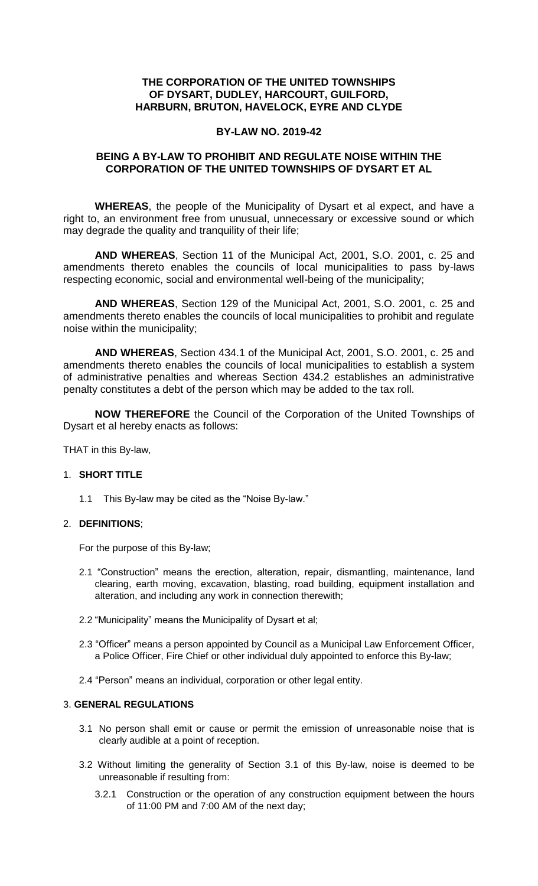## **THE CORPORATION OF THE UNITED TOWNSHIPS OF DYSART, DUDLEY, HARCOURT, GUILFORD, HARBURN, BRUTON, HAVELOCK, EYRE AND CLYDE**

## **BY-LAW NO. 2019-42**

## **BEING A BY-LAW TO PROHIBIT AND REGULATE NOISE WITHIN THE CORPORATION OF THE UNITED TOWNSHIPS OF DYSART ET AL**

**WHEREAS**, the people of the Municipality of Dysart et al expect, and have a right to, an environment free from unusual, unnecessary or excessive sound or which may degrade the quality and tranquility of their life;

**AND WHEREAS**, Section 11 of the Municipal Act, 2001, S.O. 2001, c. 25 and amendments thereto enables the councils of local municipalities to pass by-laws respecting economic, social and environmental well-being of the municipality;

**AND WHEREAS**, Section 129 of the Municipal Act, 2001, S.O. 2001, c. 25 and amendments thereto enables the councils of local municipalities to prohibit and regulate noise within the municipality;

**AND WHEREAS**, Section 434.1 of the Municipal Act, 2001, S.O. 2001, c. 25 and amendments thereto enables the councils of local municipalities to establish a system of administrative penalties and whereas Section 434.2 establishes an administrative penalty constitutes a debt of the person which may be added to the tax roll.

**NOW THEREFORE** the Council of the Corporation of the United Townships of Dysart et al hereby enacts as follows:

THAT in this By-law,

## 1. **SHORT TITLE**

1.1 This By-law may be cited as the "Noise By-law."

## 2. **DEFINITIONS**;

For the purpose of this By-law;

- 2.1 "Construction" means the erection, alteration, repair, dismantling, maintenance, land clearing, earth moving, excavation, blasting, road building, equipment installation and alteration, and including any work in connection therewith;
- 2.2 "Municipality" means the Municipality of Dysart et al;
- 2.3 "Officer" means a person appointed by Council as a Municipal Law Enforcement Officer, a Police Officer, Fire Chief or other individual duly appointed to enforce this By-law;
- 2.4 "Person" means an individual, corporation or other legal entity.

## 3. **GENERAL REGULATIONS**

- 3.1 No person shall emit or cause or permit the emission of unreasonable noise that is clearly audible at a point of reception.
- 3.2 Without limiting the generality of Section 3.1 of this By-law, noise is deemed to be unreasonable if resulting from:
	- 3.2.1 Construction or the operation of any construction equipment between the hours of 11:00 PM and 7:00 AM of the next day;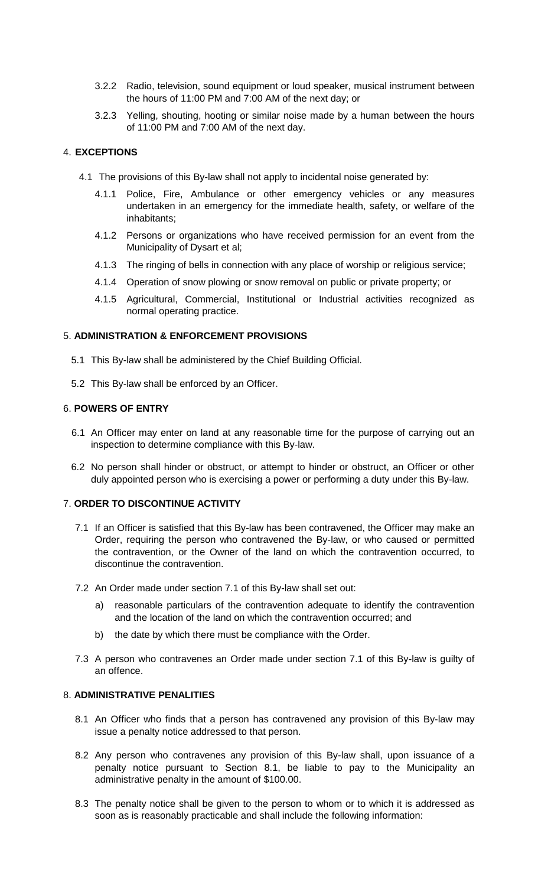- 3.2.2 Radio, television, sound equipment or loud speaker, musical instrument between the hours of 11:00 PM and 7:00 AM of the next day; or
- 3.2.3 Yelling, shouting, hooting or similar noise made by a human between the hours of 11:00 PM and 7:00 AM of the next day.

## 4. **EXCEPTIONS**

- 4.1 The provisions of this By-law shall not apply to incidental noise generated by:
	- 4.1.1 Police, Fire, Ambulance or other emergency vehicles or any measures undertaken in an emergency for the immediate health, safety, or welfare of the inhabitants;
	- 4.1.2 Persons or organizations who have received permission for an event from the Municipality of Dysart et al;
	- 4.1.3 The ringing of bells in connection with any place of worship or religious service;
	- 4.1.4 Operation of snow plowing or snow removal on public or private property; or
	- 4.1.5 Agricultural, Commercial, Institutional or Industrial activities recognized as normal operating practice.

## 5. **ADMINISTRATION & ENFORCEMENT PROVISIONS**

- 5.1 This By-law shall be administered by the Chief Building Official.
- 5.2 This By-law shall be enforced by an Officer.

## 6. **POWERS OF ENTRY**

- 6.1 An Officer may enter on land at any reasonable time for the purpose of carrying out an inspection to determine compliance with this By-law.
- 6.2 No person shall hinder or obstruct, or attempt to hinder or obstruct, an Officer or other duly appointed person who is exercising a power or performing a duty under this By-law.

#### 7. **ORDER TO DISCONTINUE ACTIVITY**

- 7.1 If an Officer is satisfied that this By-law has been contravened, the Officer may make an Order, requiring the person who contravened the By-law, or who caused or permitted the contravention, or the Owner of the land on which the contravention occurred, to discontinue the contravention.
- 7.2 An Order made under section 7.1 of this By-law shall set out:
	- a) reasonable particulars of the contravention adequate to identify the contravention and the location of the land on which the contravention occurred; and
	- b) the date by which there must be compliance with the Order.
- 7.3 A person who contravenes an Order made under section 7.1 of this By-law is guilty of an offence.

#### 8. **ADMINISTRATIVE PENALITIES**

- 8.1 An Officer who finds that a person has contravened any provision of this By-law may issue a penalty notice addressed to that person.
- 8.2 Any person who contravenes any provision of this By-law shall, upon issuance of a penalty notice pursuant to Section 8.1, be liable to pay to the Municipality an administrative penalty in the amount of \$100.00.
- 8.3 The penalty notice shall be given to the person to whom or to which it is addressed as soon as is reasonably practicable and shall include the following information: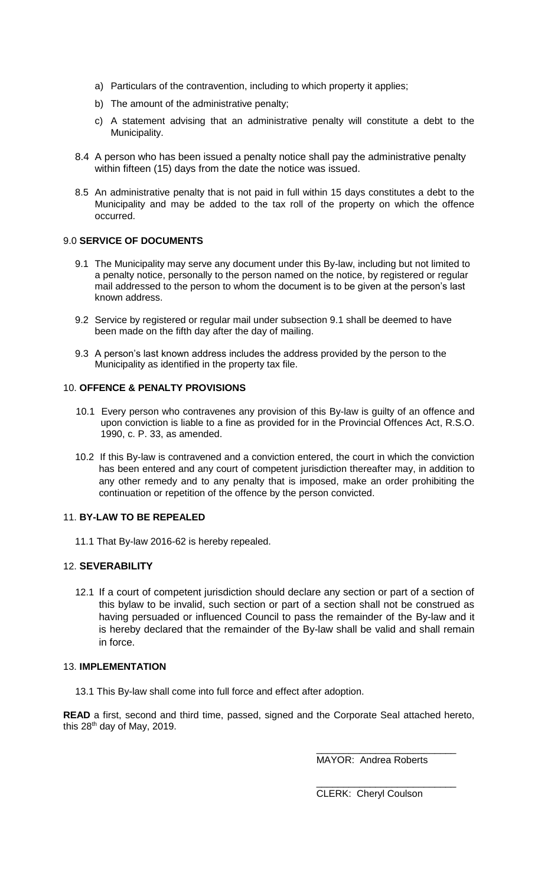- a) Particulars of the contravention, including to which property it applies;
- b) The amount of the administrative penalty;
- c) A statement advising that an administrative penalty will constitute a debt to the Municipality.
- 8.4 A person who has been issued a penalty notice shall pay the administrative penalty within fifteen (15) days from the date the notice was issued.
- 8.5 An administrative penalty that is not paid in full within 15 days constitutes a debt to the Municipality and may be added to the tax roll of the property on which the offence occurred.

### 9.0 **SERVICE OF DOCUMENTS**

- 9.1 The Municipality may serve any document under this By-law, including but not limited to a penalty notice, personally to the person named on the notice, by registered or regular mail addressed to the person to whom the document is to be given at the person's last known address.
- 9.2 Service by registered or regular mail under subsection 9.1 shall be deemed to have been made on the fifth day after the day of mailing.
- 9.3 A person's last known address includes the address provided by the person to the Municipality as identified in the property tax file.

#### 10. **OFFENCE & PENALTY PROVISIONS**

- 10.1 Every person who contravenes any provision of this By-law is guilty of an offence and upon conviction is liable to a fine as provided for in the Provincial Offences Act, R.S.O. 1990, c. P. 33, as amended.
- 10.2 If this By-law is contravened and a conviction entered, the court in which the conviction has been entered and any court of competent jurisdiction thereafter may, in addition to any other remedy and to any penalty that is imposed, make an order prohibiting the continuation or repetition of the offence by the person convicted.

## 11. **BY-LAW TO BE REPEALED**

11.1 That By-law 2016-62 is hereby repealed.

## 12. **SEVERABILITY**

12.1 If a court of competent jurisdiction should declare any section or part of a section of this bylaw to be invalid, such section or part of a section shall not be construed as having persuaded or influenced Council to pass the remainder of the By-law and it is hereby declared that the remainder of the By-law shall be valid and shall remain in force.

#### 13. **IMPLEMENTATION**

13.1 This By-law shall come into full force and effect after adoption.

**READ** a first, second and third time, passed, signed and the Corporate Seal attached hereto, this  $28<sup>th</sup>$  day of May, 2019.

MAYOR: Andrea Roberts

\_\_\_\_\_\_\_\_\_\_\_\_\_\_\_\_\_\_\_\_\_\_\_\_\_\_

\_\_\_\_\_\_\_\_\_\_\_\_\_\_\_\_\_\_\_\_\_\_\_\_\_\_

CLERK: Cheryl Coulson